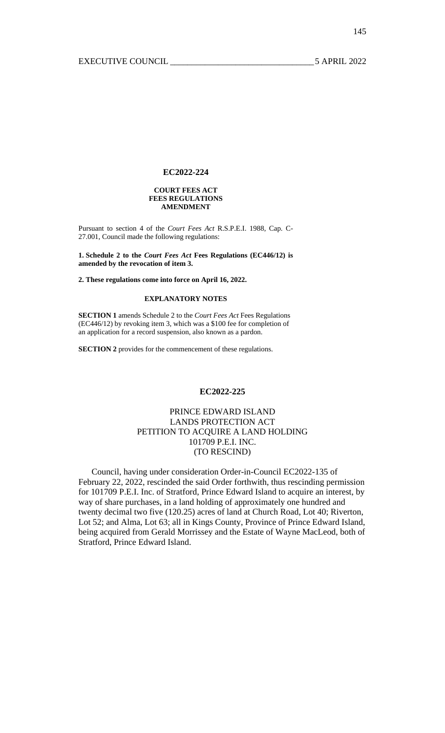#### **COURT FEES ACT FEES REGULATIONS AMENDMENT**

Pursuant to section 4 of the *Court Fees Act* R.S.P.E.I. 1988, Cap. C-27.001, Council made the following regulations:

**1. Schedule 2 to the** *Court Fees Act* **Fees Regulations (EC446/12) is amended by the revocation of item 3.** 

**2. These regulations come into force on April 16, 2022.** 

## **EXPLANATORY NOTES**

**SECTION 1** amends Schedule 2 to the *Court Fees Act* Fees Regulations (EC446/12) by revoking item 3, which was a \$100 fee for completion of an application for a record suspension, also known as a pardon.

**SECTION 2** provides for the commencement of these regulations.

#### **EC2022-225**

# PRINCE EDWARD ISLAND LANDS PROTECTION ACT PETITION TO ACQUIRE A LAND HOLDING 101709 P.E.I. INC. (TO RESCIND)

 Council, having under consideration Order-in-Council EC2022-135 of February 22, 2022, rescinded the said Order forthwith, thus rescinding permission for 101709 P.E.I. Inc. of Stratford, Prince Edward Island to acquire an interest, by way of share purchases, in a land holding of approximately one hundred and twenty decimal two five (120.25) acres of land at Church Road, Lot 40; Riverton, Lot 52; and Alma, Lot 63; all in Kings County, Province of Prince Edward Island, being acquired from Gerald Morrissey and the Estate of Wayne MacLeod, both of Stratford, Prince Edward Island.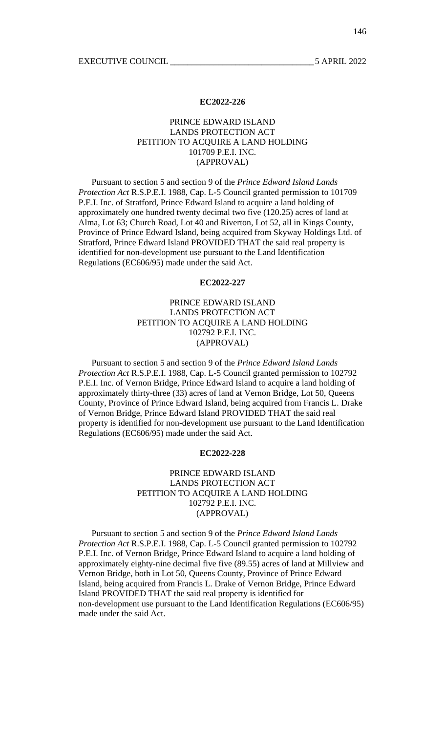# PRINCE EDWARD ISLAND LANDS PROTECTION ACT PETITION TO ACQUIRE A LAND HOLDING 101709 P.E.I. INC. (APPROVAL)

 Pursuant to section 5 and section 9 of the *Prince Edward Island Lands Protection Act* R.S.P.E.I. 1988, Cap. L-5 Council granted permission to 101709 P.E.I. Inc. of Stratford, Prince Edward Island to acquire a land holding of approximately one hundred twenty decimal two five (120.25) acres of land at Alma, Lot 63; Church Road, Lot 40 and Riverton, Lot 52, all in Kings County, Province of Prince Edward Island, being acquired from Skyway Holdings Ltd. of Stratford, Prince Edward Island PROVIDED THAT the said real property is identified for non-development use pursuant to the Land Identification Regulations (EC606/95) made under the said Act.

#### **EC2022-227**

# PRINCE EDWARD ISLAND LANDS PROTECTION ACT PETITION TO ACQUIRE A LAND HOLDING 102792 P.E.I. INC. (APPROVAL)

 Pursuant to section 5 and section 9 of the *Prince Edward Island Lands Protection Act* R.S.P.E.I. 1988, Cap. L-5 Council granted permission to 102792 P.E.I. Inc. of Vernon Bridge, Prince Edward Island to acquire a land holding of approximately thirty-three (33) acres of land at Vernon Bridge, Lot 50, Queens County, Province of Prince Edward Island, being acquired from Francis L. Drake of Vernon Bridge, Prince Edward Island PROVIDED THAT the said real property is identified for non-development use pursuant to the Land Identification Regulations (EC606/95) made under the said Act.

## **EC2022-228**

# PRINCE EDWARD ISLAND LANDS PROTECTION ACT PETITION TO ACQUIRE A LAND HOLDING 102792 P.E.I. INC. (APPROVAL)

 Pursuant to section 5 and section 9 of the *Prince Edward Island Lands Protection Act* R.S.P.E.I. 1988, Cap. L-5 Council granted permission to 102792 P.E.I. Inc. of Vernon Bridge, Prince Edward Island to acquire a land holding of approximately eighty-nine decimal five five (89.55) acres of land at Millview and Vernon Bridge, both in Lot 50, Queens County, Province of Prince Edward Island, being acquired from Francis L. Drake of Vernon Bridge, Prince Edward Island PROVIDED THAT the said real property is identified for non-development use pursuant to the Land Identification Regulations (EC606/95) made under the said Act.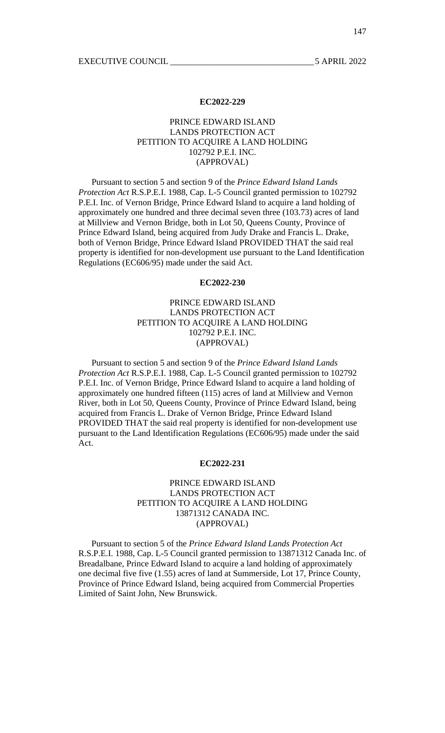# PRINCE EDWARD ISLAND LANDS PROTECTION ACT PETITION TO ACQUIRE A LAND HOLDING 102792 P.E.I. INC. (APPROVAL)

 Pursuant to section 5 and section 9 of the *Prince Edward Island Lands Protection Act* R.S.P.E.I. 1988, Cap. L-5 Council granted permission to 102792 P.E.I. Inc. of Vernon Bridge, Prince Edward Island to acquire a land holding of approximately one hundred and three decimal seven three (103.73) acres of land at Millview and Vernon Bridge, both in Lot 50, Queens County, Province of Prince Edward Island, being acquired from Judy Drake and Francis L. Drake, both of Vernon Bridge, Prince Edward Island PROVIDED THAT the said real property is identified for non-development use pursuant to the Land Identification Regulations (EC606/95) made under the said Act.

#### **EC2022-230**

# PRINCE EDWARD ISLAND LANDS PROTECTION ACT PETITION TO ACQUIRE A LAND HOLDING 102792 P.E.I. INC. (APPROVAL)

 Pursuant to section 5 and section 9 of the *Prince Edward Island Lands Protection Act* R.S.P.E.I. 1988, Cap. L-5 Council granted permission to 102792 P.E.I. Inc. of Vernon Bridge, Prince Edward Island to acquire a land holding of approximately one hundred fifteen (115) acres of land at Millview and Vernon River, both in Lot 50, Queens County, Province of Prince Edward Island, being acquired from Francis L. Drake of Vernon Bridge, Prince Edward Island PROVIDED THAT the said real property is identified for non-development use pursuant to the Land Identification Regulations (EC606/95) made under the said Act.

## **EC2022-231**

# PRINCE EDWARD ISLAND LANDS PROTECTION ACT PETITION TO ACQUIRE A LAND HOLDING 13871312 CANADA INC. (APPROVAL)

 Pursuant to section 5 of the *Prince Edward Island Lands Protection Act* R.S.P.E.I. 1988, Cap. L-5 Council granted permission to 13871312 Canada Inc. of Breadalbane, Prince Edward Island to acquire a land holding of approximately one decimal five five (1.55) acres of land at Summerside, Lot 17, Prince County, Province of Prince Edward Island, being acquired from Commercial Properties Limited of Saint John, New Brunswick.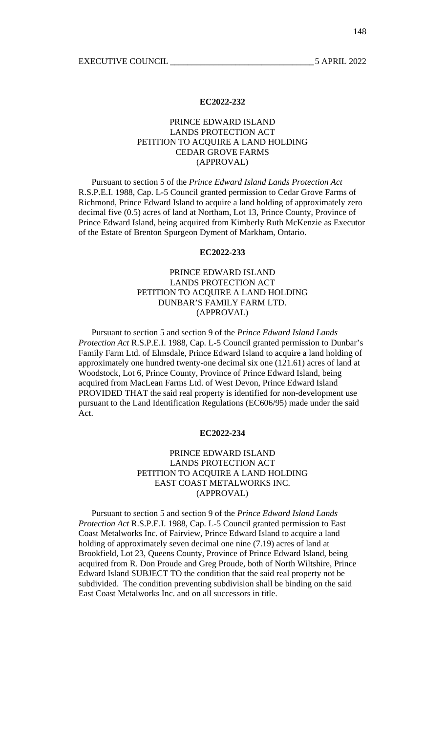# PRINCE EDWARD ISLAND LANDS PROTECTION ACT PETITION TO ACQUIRE A LAND HOLDING CEDAR GROVE FARMS (APPROVAL)

 Pursuant to section 5 of the *Prince Edward Island Lands Protection Act* R.S.P.E.I. 1988, Cap. L-5 Council granted permission to Cedar Grove Farms of Richmond, Prince Edward Island to acquire a land holding of approximately zero decimal five (0.5) acres of land at Northam, Lot 13, Prince County, Province of Prince Edward Island, being acquired from Kimberly Ruth McKenzie as Executor of the Estate of Brenton Spurgeon Dyment of Markham, Ontario.

#### **EC2022-233**

# PRINCE EDWARD ISLAND LANDS PROTECTION ACT PETITION TO ACQUIRE A LAND HOLDING DUNBAR'S FAMILY FARM LTD. (APPROVAL)

 Pursuant to section 5 and section 9 of the *Prince Edward Island Lands Protection Act* R.S.P.E.I. 1988, Cap. L-5 Council granted permission to Dunbar's Family Farm Ltd. of Elmsdale, Prince Edward Island to acquire a land holding of approximately one hundred twenty-one decimal six one (121.61) acres of land at Woodstock, Lot 6, Prince County, Province of Prince Edward Island, being acquired from MacLean Farms Ltd. of West Devon, Prince Edward Island PROVIDED THAT the said real property is identified for non-development use pursuant to the Land Identification Regulations (EC606/95) made under the said Act.

## **EC2022-234**

# PRINCE EDWARD ISLAND LANDS PROTECTION ACT PETITION TO ACQUIRE A LAND HOLDING EAST COAST METALWORKS INC. (APPROVAL)

 Pursuant to section 5 and section 9 of the *Prince Edward Island Lands Protection Act* R.S.P.E.I. 1988, Cap. L-5 Council granted permission to East Coast Metalworks Inc. of Fairview, Prince Edward Island to acquire a land holding of approximately seven decimal one nine (7.19) acres of land at Brookfield, Lot 23, Queens County, Province of Prince Edward Island, being acquired from R. Don Proude and Greg Proude, both of North Wiltshire, Prince Edward Island SUBJECT TO the condition that the said real property not be subdivided. The condition preventing subdivision shall be binding on the said East Coast Metalworks Inc. and on all successors in title.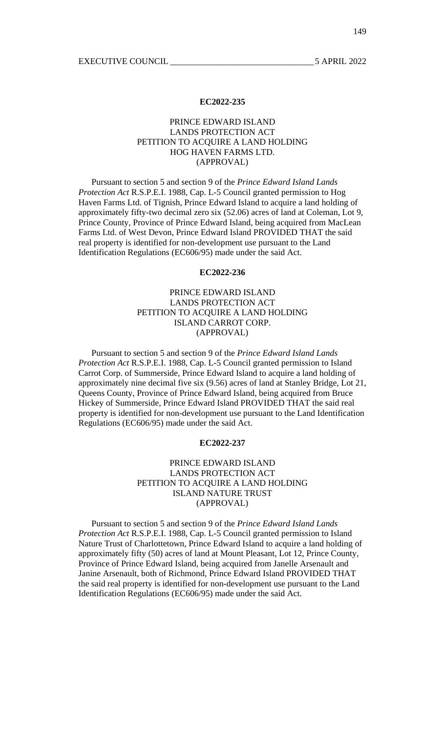# PRINCE EDWARD ISLAND LANDS PROTECTION ACT PETITION TO ACQUIRE A LAND HOLDING HOG HAVEN FARMS LTD. (APPROVAL)

 Pursuant to section 5 and section 9 of the *Prince Edward Island Lands Protection Act* R.S.P.E.I. 1988, Cap. L-5 Council granted permission to Hog Haven Farms Ltd. of Tignish, Prince Edward Island to acquire a land holding of approximately fifty-two decimal zero six (52.06) acres of land at Coleman, Lot 9, Prince County, Province of Prince Edward Island, being acquired from MacLean Farms Ltd. of West Devon, Prince Edward Island PROVIDED THAT the said real property is identified for non-development use pursuant to the Land Identification Regulations (EC606/95) made under the said Act.

#### **EC2022-236**

# PRINCE EDWARD ISLAND LANDS PROTECTION ACT PETITION TO ACQUIRE A LAND HOLDING ISLAND CARROT CORP. (APPROVAL)

 Pursuant to section 5 and section 9 of the *Prince Edward Island Lands Protection Act* R.S.P.E.I. 1988, Cap. L-5 Council granted permission to Island Carrot Corp. of Summerside, Prince Edward Island to acquire a land holding of approximately nine decimal five six (9.56) acres of land at Stanley Bridge, Lot 21, Queens County, Province of Prince Edward Island, being acquired from Bruce Hickey of Summerside, Prince Edward Island PROVIDED THAT the said real property is identified for non-development use pursuant to the Land Identification Regulations (EC606/95) made under the said Act.

#### **EC2022-237**

## PRINCE EDWARD ISLAND LANDS PROTECTION ACT PETITION TO ACQUIRE A LAND HOLDING ISLAND NATURE TRUST (APPROVAL)

 Pursuant to section 5 and section 9 of the *Prince Edward Island Lands Protection Act* R.S.P.E.I. 1988, Cap. L-5 Council granted permission to Island Nature Trust of Charlottetown, Prince Edward Island to acquire a land holding of approximately fifty (50) acres of land at Mount Pleasant, Lot 12, Prince County, Province of Prince Edward Island, being acquired from Janelle Arsenault and Janine Arsenault, both of Richmond, Prince Edward Island PROVIDED THAT the said real property is identified for non-development use pursuant to the Land Identification Regulations (EC606/95) made under the said Act.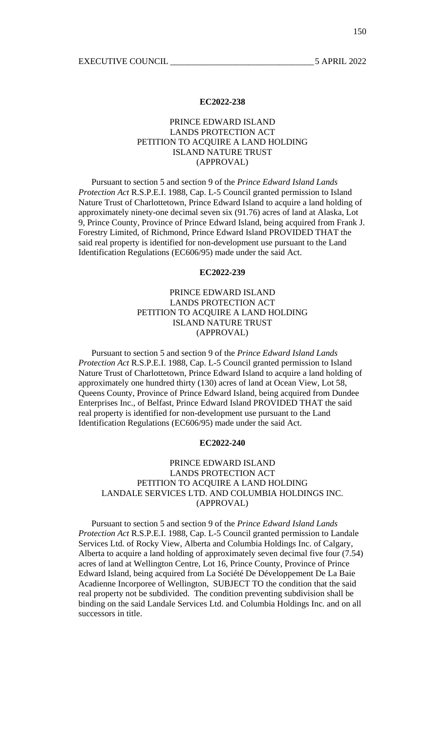# PRINCE EDWARD ISLAND LANDS PROTECTION ACT PETITION TO ACQUIRE A LAND HOLDING ISLAND NATURE TRUST (APPROVAL)

 Pursuant to section 5 and section 9 of the *Prince Edward Island Lands Protection Act* R.S.P.E.I. 1988, Cap. L-5 Council granted permission to Island Nature Trust of Charlottetown, Prince Edward Island to acquire a land holding of approximately ninety-one decimal seven six (91.76) acres of land at Alaska, Lot 9, Prince County, Province of Prince Edward Island, being acquired from Frank J. Forestry Limited, of Richmond, Prince Edward Island PROVIDED THAT the said real property is identified for non-development use pursuant to the Land Identification Regulations (EC606/95) made under the said Act.

# **EC2022-239**

# PRINCE EDWARD ISLAND LANDS PROTECTION ACT PETITION TO ACQUIRE A LAND HOLDING ISLAND NATURE TRUST (APPROVAL)

 Pursuant to section 5 and section 9 of the *Prince Edward Island Lands Protection Act* R.S.P.E.I. 1988, Cap. L-5 Council granted permission to Island Nature Trust of Charlottetown, Prince Edward Island to acquire a land holding of approximately one hundred thirty (130) acres of land at Ocean View, Lot 58, Queens County, Province of Prince Edward Island, being acquired from Dundee Enterprises Inc., of Belfast, Prince Edward Island PROVIDED THAT the said real property is identified for non-development use pursuant to the Land Identification Regulations (EC606/95) made under the said Act.

#### **EC2022-240**

## PRINCE EDWARD ISLAND LANDS PROTECTION ACT PETITION TO ACQUIRE A LAND HOLDING LANDALE SERVICES LTD. AND COLUMBIA HOLDINGS INC. (APPROVAL)

 Pursuant to section 5 and section 9 of the *Prince Edward Island Lands Protection Act* R.S.P.E.I. 1988, Cap. L-5 Council granted permission to Landale Services Ltd. of Rocky View, Alberta and Columbia Holdings Inc. of Calgary, Alberta to acquire a land holding of approximately seven decimal five four (7.54) acres of land at Wellington Centre, Lot 16, Prince County, Province of Prince Edward Island, being acquired from La Société De Développement De La Baie Acadienne Incorporee of Wellington, SUBJECT TO the condition that the said real property not be subdivided. The condition preventing subdivision shall be binding on the said Landale Services Ltd. and Columbia Holdings Inc. and on all successors in title.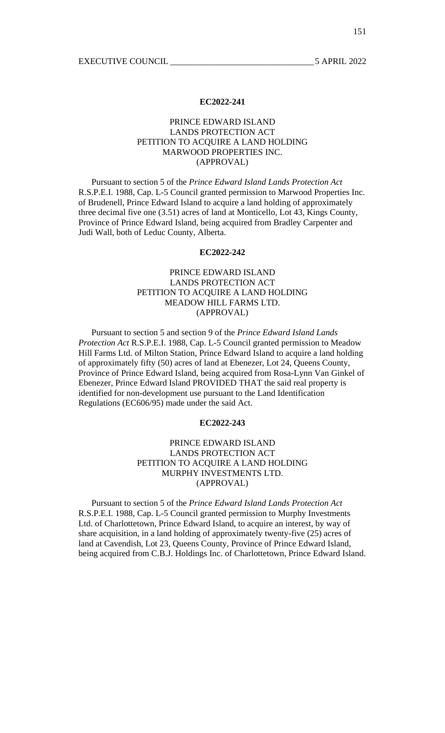# PRINCE EDWARD ISLAND LANDS PROTECTION ACT PETITION TO ACQUIRE A LAND HOLDING MARWOOD PROPERTIES INC. (APPROVAL)

 Pursuant to section 5 of the *Prince Edward Island Lands Protection Act* R.S.P.E.I. 1988, Cap. L-5 Council granted permission to Marwood Properties Inc. of Brudenell, Prince Edward Island to acquire a land holding of approximately three decimal five one (3.51) acres of land at Monticello, Lot 43, Kings County, Province of Prince Edward Island, being acquired from Bradley Carpenter and Judi Wall, both of Leduc County, Alberta.

#### **EC2022-242**

# PRINCE EDWARD ISLAND LANDS PROTECTION ACT PETITION TO ACQUIRE A LAND HOLDING MEADOW HILL FARMS LTD. (APPROVAL)

 Pursuant to section 5 and section 9 of the *Prince Edward Island Lands Protection Act* R.S.P.E.I. 1988, Cap. L-5 Council granted permission to Meadow Hill Farms Ltd. of Milton Station, Prince Edward Island to acquire a land holding of approximately fifty (50) acres of land at Ebenezer, Lot 24, Queens County, Province of Prince Edward Island, being acquired from Rosa-Lynn Van Ginkel of Ebenezer, Prince Edward Island PROVIDED THAT the said real property is identified for non-development use pursuant to the Land Identification Regulations (EC606/95) made under the said Act.

#### **EC2022-243**

# PRINCE EDWARD ISLAND LANDS PROTECTION ACT PETITION TO ACQUIRE A LAND HOLDING MURPHY INVESTMENTS LTD. (APPROVAL)

 Pursuant to section 5 of the *Prince Edward Island Lands Protection Act* R.S.P.E.I. 1988, Cap. L-5 Council granted permission to Murphy Investments Ltd. of Charlottetown, Prince Edward Island, to acquire an interest, by way of share acquisition, in a land holding of approximately twenty-five (25) acres of land at Cavendish, Lot 23, Queens County, Province of Prince Edward Island, being acquired from C.B.J. Holdings Inc. of Charlottetown, Prince Edward Island.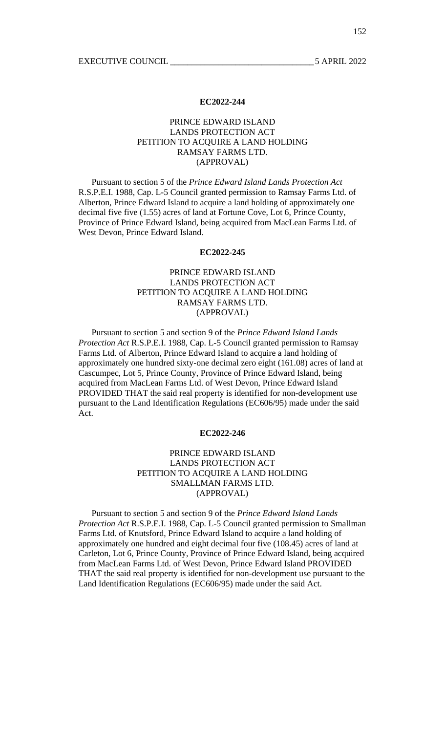# PRINCE EDWARD ISLAND LANDS PROTECTION ACT PETITION TO ACQUIRE A LAND HOLDING RAMSAY FARMS LTD. (APPROVAL)

 Pursuant to section 5 of the *Prince Edward Island Lands Protection Act* R.S.P.E.I. 1988, Cap. L-5 Council granted permission to Ramsay Farms Ltd. of Alberton, Prince Edward Island to acquire a land holding of approximately one decimal five five (1.55) acres of land at Fortune Cove, Lot 6, Prince County, Province of Prince Edward Island, being acquired from MacLean Farms Ltd. of West Devon, Prince Edward Island.

#### **EC2022-245**

# PRINCE EDWARD ISLAND LANDS PROTECTION ACT PETITION TO ACQUIRE A LAND HOLDING RAMSAY FARMS LTD. (APPROVAL)

 Pursuant to section 5 and section 9 of the *Prince Edward Island Lands Protection Act* R.S.P.E.I. 1988, Cap. L-5 Council granted permission to Ramsay Farms Ltd. of Alberton, Prince Edward Island to acquire a land holding of approximately one hundred sixty-one decimal zero eight (161.08) acres of land at Cascumpec, Lot 5, Prince County, Province of Prince Edward Island, being acquired from MacLean Farms Ltd. of West Devon, Prince Edward Island PROVIDED THAT the said real property is identified for non-development use pursuant to the Land Identification Regulations (EC606/95) made under the said Act.

## **EC2022-246**

# PRINCE EDWARD ISLAND LANDS PROTECTION ACT PETITION TO ACQUIRE A LAND HOLDING SMALLMAN FARMS LTD. (APPROVAL)

 Pursuant to section 5 and section 9 of the *Prince Edward Island Lands Protection Act* R.S.P.E.I. 1988, Cap. L-5 Council granted permission to Smallman Farms Ltd. of Knutsford, Prince Edward Island to acquire a land holding of approximately one hundred and eight decimal four five (108.45) acres of land at Carleton, Lot 6, Prince County, Province of Prince Edward Island, being acquired from MacLean Farms Ltd. of West Devon, Prince Edward Island PROVIDED THAT the said real property is identified for non-development use pursuant to the Land Identification Regulations (EC606/95) made under the said Act.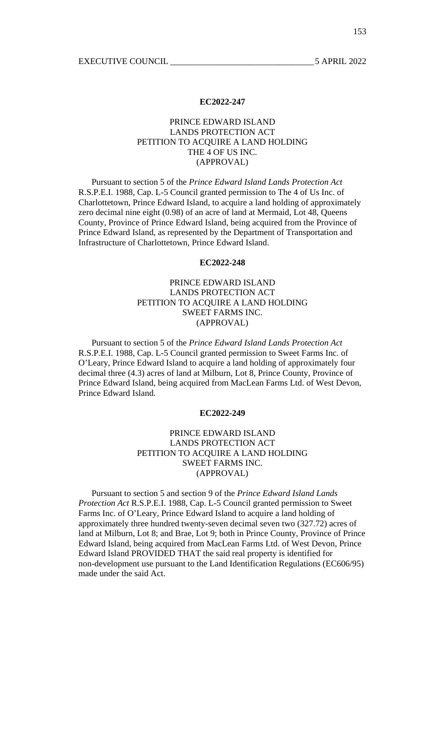# PRINCE EDWARD ISLAND LANDS PROTECTION ACT PETITION TO ACQUIRE A LAND HOLDING THE 4 OF US INC. (APPROVAL)

 Pursuant to section 5 of the *Prince Edward Island Lands Protection Act* R.S.P.E.I. 1988, Cap. L-5 Council granted permission to The 4 of Us Inc. of Charlottetown, Prince Edward Island, to acquire a land holding of approximately zero decimal nine eight (0.98) of an acre of land at Mermaid, Lot 48, Queens County, Province of Prince Edward Island, being acquired from the Province of Prince Edward Island, as represented by the Department of Transportation and Infrastructure of Charlottetown, Prince Edward Island.

## **EC2022-248**

# PRINCE EDWARD ISLAND LANDS PROTECTION ACT PETITION TO ACQUIRE A LAND HOLDING SWEET FARMS INC. (APPROVAL)

 Pursuant to section 5 of the *Prince Edward Island Lands Protection Act* R.S.P.E.I. 1988, Cap. L-5 Council granted permission to Sweet Farms Inc. of O'Leary, Prince Edward Island to acquire a land holding of approximately four decimal three (4.3) acres of land at Milburn, Lot 8, Prince County, Province of Prince Edward Island, being acquired from MacLean Farms Ltd. of West Devon, Prince Edward Island.

#### **EC2022-249**

# PRINCE EDWARD ISLAND LANDS PROTECTION ACT PETITION TO ACQUIRE A LAND HOLDING SWEET FARMS INC. (APPROVAL)

 Pursuant to section 5 and section 9 of the *Prince Edward Island Lands Protection Act* R.S.P.E.I. 1988, Cap. L-5 Council granted permission to Sweet Farms Inc. of O'Leary, Prince Edward Island to acquire a land holding of approximately three hundred twenty-seven decimal seven two (327.72) acres of land at Milburn, Lot 8; and Brae, Lot 9; both in Prince County, Province of Prince Edward Island, being acquired from MacLean Farms Ltd. of West Devon, Prince Edward Island PROVIDED THAT the said real property is identified for non-development use pursuant to the Land Identification Regulations (EC606/95) made under the said Act.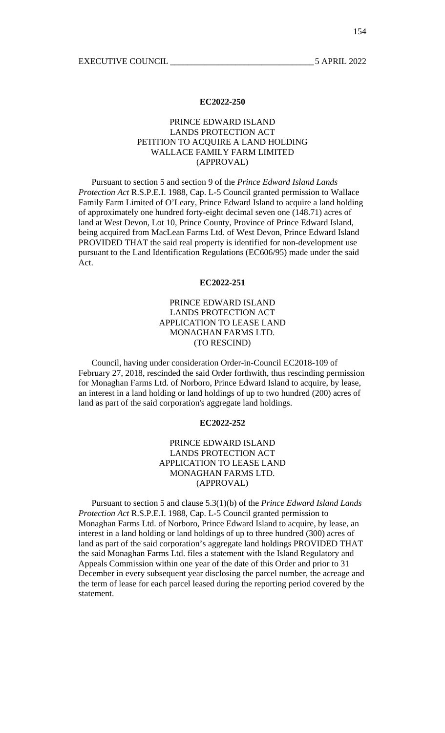# PRINCE EDWARD ISLAND LANDS PROTECTION ACT PETITION TO ACQUIRE A LAND HOLDING WALLACE FAMILY FARM LIMITED (APPROVAL)

 Pursuant to section 5 and section 9 of the *Prince Edward Island Lands Protection Act* R.S.P.E.I. 1988, Cap. L-5 Council granted permission to Wallace Family Farm Limited of O'Leary, Prince Edward Island to acquire a land holding of approximately one hundred forty-eight decimal seven one (148.71) acres of land at West Devon, Lot 10, Prince County, Province of Prince Edward Island, being acquired from MacLean Farms Ltd. of West Devon, Prince Edward Island PROVIDED THAT the said real property is identified for non-development use pursuant to the Land Identification Regulations (EC606/95) made under the said Act.

#### **EC2022-251**

# PRINCE EDWARD ISLAND LANDS PROTECTION ACT APPLICATION TO LEASE LAND MONAGHAN FARMS LTD. (TO RESCIND)

 Council, having under consideration Order-in-Council EC2018-109 of February 27, 2018, rescinded the said Order forthwith, thus rescinding permission for Monaghan Farms Ltd. of Norboro, Prince Edward Island to acquire, by lease, an interest in a land holding or land holdings of up to two hundred (200) acres of land as part of the said corporation's aggregate land holdings.

#### **EC2022-252**

# PRINCE EDWARD ISLAND LANDS PROTECTION ACT APPLICATION TO LEASE LAND MONAGHAN FARMS LTD. (APPROVAL)

 Pursuant to section 5 and clause 5.3(1)(b) of the *Prince Edward Island Lands Protection Act* R.S.P.E.I. 1988, Cap. L-5 Council granted permission to Monaghan Farms Ltd. of Norboro, Prince Edward Island to acquire, by lease, an interest in a land holding or land holdings of up to three hundred (300) acres of land as part of the said corporation's aggregate land holdings PROVIDED THAT the said Monaghan Farms Ltd. files a statement with the Island Regulatory and Appeals Commission within one year of the date of this Order and prior to 31 December in every subsequent year disclosing the parcel number, the acreage and the term of lease for each parcel leased during the reporting period covered by the statement.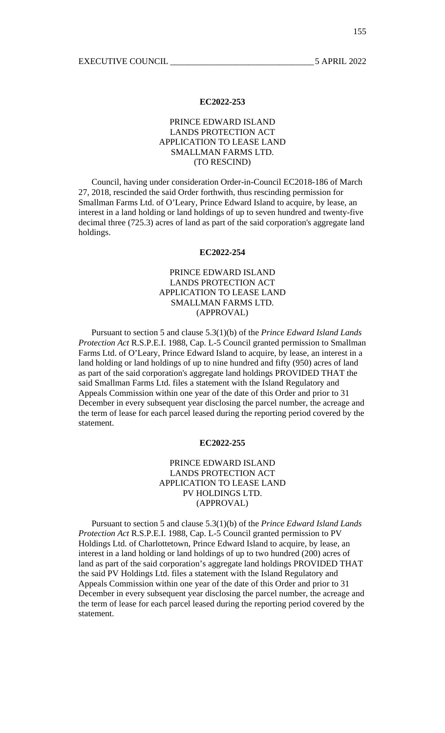# PRINCE EDWARD ISLAND LANDS PROTECTION ACT APPLICATION TO LEASE LAND SMALLMAN FARMS LTD. (TO RESCIND)

 Council, having under consideration Order-in-Council EC2018-186 of March 27, 2018, rescinded the said Order forthwith, thus rescinding permission for Smallman Farms Ltd. of O'Leary, Prince Edward Island to acquire, by lease, an interest in a land holding or land holdings of up to seven hundred and twenty-five decimal three (725.3) acres of land as part of the said corporation's aggregate land holdings.

#### **EC2022-254**

# PRINCE EDWARD ISLAND LANDS PROTECTION ACT APPLICATION TO LEASE LAND SMALLMAN FARMS LTD. (APPROVAL)

 Pursuant to section 5 and clause 5.3(1)(b) of the *Prince Edward Island Lands Protection Act* R.S.P.E.I. 1988, Cap. L-5 Council granted permission to Smallman Farms Ltd. of O'Leary, Prince Edward Island to acquire, by lease, an interest in a land holding or land holdings of up to nine hundred and fifty (950) acres of land as part of the said corporation's aggregate land holdings PROVIDED THAT the said Smallman Farms Ltd. files a statement with the Island Regulatory and Appeals Commission within one year of the date of this Order and prior to 31 December in every subsequent year disclosing the parcel number, the acreage and the term of lease for each parcel leased during the reporting period covered by the statement.

#### **EC2022-255**

## PRINCE EDWARD ISLAND LANDS PROTECTION ACT APPLICATION TO LEASE LAND PV HOLDINGS LTD. (APPROVAL)

 Pursuant to section 5 and clause 5.3(1)(b) of the *Prince Edward Island Lands Protection Act* R.S.P.E.I. 1988, Cap. L-5 Council granted permission to PV Holdings Ltd. of Charlottetown, Prince Edward Island to acquire, by lease, an interest in a land holding or land holdings of up to two hundred (200) acres of land as part of the said corporation's aggregate land holdings PROVIDED THAT the said PV Holdings Ltd. files a statement with the Island Regulatory and Appeals Commission within one year of the date of this Order and prior to 31 December in every subsequent year disclosing the parcel number, the acreage and the term of lease for each parcel leased during the reporting period covered by the statement.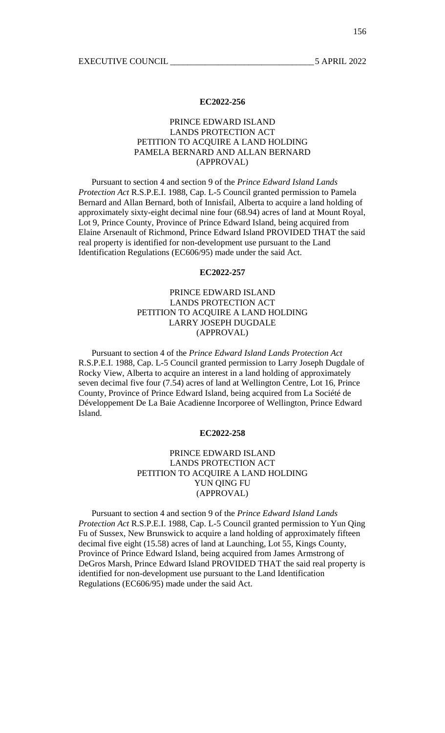# PRINCE EDWARD ISLAND LANDS PROTECTION ACT PETITION TO ACQUIRE A LAND HOLDING PAMELA BERNARD AND ALLAN BERNARD (APPROVAL)

 Pursuant to section 4 and section 9 of the *Prince Edward Island Lands Protection Act* R.S.P.E.I. 1988, Cap. L-5 Council granted permission to Pamela Bernard and Allan Bernard, both of Innisfail, Alberta to acquire a land holding of approximately sixty-eight decimal nine four (68.94) acres of land at Mount Royal, Lot 9, Prince County, Province of Prince Edward Island, being acquired from Elaine Arsenault of Richmond, Prince Edward Island PROVIDED THAT the said real property is identified for non-development use pursuant to the Land Identification Regulations (EC606/95) made under the said Act.

#### **EC2022-257**

# PRINCE EDWARD ISLAND LANDS PROTECTION ACT PETITION TO ACQUIRE A LAND HOLDING LARRY JOSEPH DUGDALE (APPROVAL)

 Pursuant to section 4 of the *Prince Edward Island Lands Protection Act* R.S.P.E.I. 1988, Cap. L-5 Council granted permission to Larry Joseph Dugdale of Rocky View, Alberta to acquire an interest in a land holding of approximately seven decimal five four (7.54) acres of land at Wellington Centre, Lot 16, Prince County, Province of Prince Edward Island, being acquired from La Société de Développement De La Baie Acadienne Incorporee of Wellington, Prince Edward Island.

# **EC2022-258**

# PRINCE EDWARD ISLAND LANDS PROTECTION ACT PETITION TO ACQUIRE A LAND HOLDING YUN QING FU (APPROVAL)

 Pursuant to section 4 and section 9 of the *Prince Edward Island Lands Protection Act* R.S.P.E.I. 1988, Cap. L-5 Council granted permission to Yun Qing Fu of Sussex, New Brunswick to acquire a land holding of approximately fifteen decimal five eight (15.58) acres of land at Launching, Lot 55, Kings County, Province of Prince Edward Island, being acquired from James Armstrong of DeGros Marsh, Prince Edward Island PROVIDED THAT the said real property is identified for non-development use pursuant to the Land Identification Regulations (EC606/95) made under the said Act.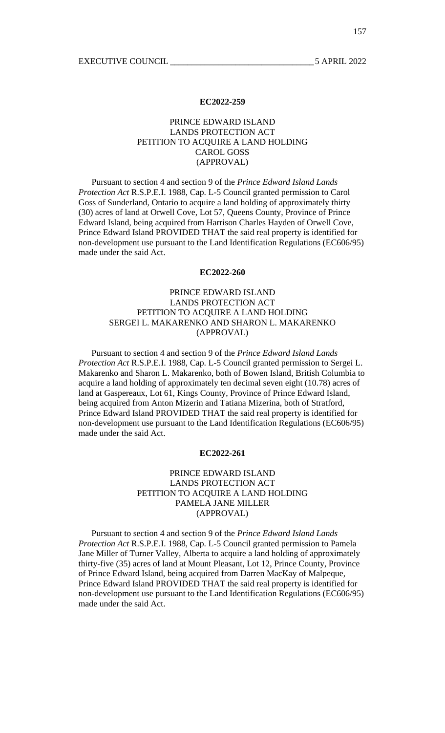# PRINCE EDWARD ISLAND LANDS PROTECTION ACT PETITION TO ACQUIRE A LAND HOLDING CAROL GOSS (APPROVAL)

 Pursuant to section 4 and section 9 of the *Prince Edward Island Lands Protection Act* R.S.P.E.I. 1988, Cap. L-5 Council granted permission to Carol Goss of Sunderland, Ontario to acquire a land holding of approximately thirty (30) acres of land at Orwell Cove, Lot 57, Queens County, Province of Prince Edward Island, being acquired from Harrison Charles Hayden of Orwell Cove, Prince Edward Island PROVIDED THAT the said real property is identified for non-development use pursuant to the Land Identification Regulations (EC606/95) made under the said Act.

#### **EC2022-260**

# PRINCE EDWARD ISLAND LANDS PROTECTION ACT PETITION TO ACQUIRE A LAND HOLDING SERGEI L. MAKARENKO AND SHARON L. MAKARENKO (APPROVAL)

 Pursuant to section 4 and section 9 of the *Prince Edward Island Lands Protection Act* R.S.P.E.I. 1988, Cap. L-5 Council granted permission to Sergei L. Makarenko and Sharon L. Makarenko, both of Bowen Island, British Columbia to acquire a land holding of approximately ten decimal seven eight (10.78) acres of land at Gaspereaux, Lot 61, Kings County, Province of Prince Edward Island, being acquired from Anton Mizerin and Tatiana Mizerina, both of Stratford, Prince Edward Island PROVIDED THAT the said real property is identified for non-development use pursuant to the Land Identification Regulations (EC606/95) made under the said Act.

#### **EC2022-261**

# PRINCE EDWARD ISLAND LANDS PROTECTION ACT PETITION TO ACQUIRE A LAND HOLDING PAMELA JANE MILLER (APPROVAL)

 Pursuant to section 4 and section 9 of the *Prince Edward Island Lands Protection Act* R.S.P.E.I. 1988, Cap. L-5 Council granted permission to Pamela Jane Miller of Turner Valley, Alberta to acquire a land holding of approximately thirty-five (35) acres of land at Mount Pleasant, Lot 12, Prince County, Province of Prince Edward Island, being acquired from Darren MacKay of Malpeque, Prince Edward Island PROVIDED THAT the said real property is identified for non-development use pursuant to the Land Identification Regulations (EC606/95) made under the said Act.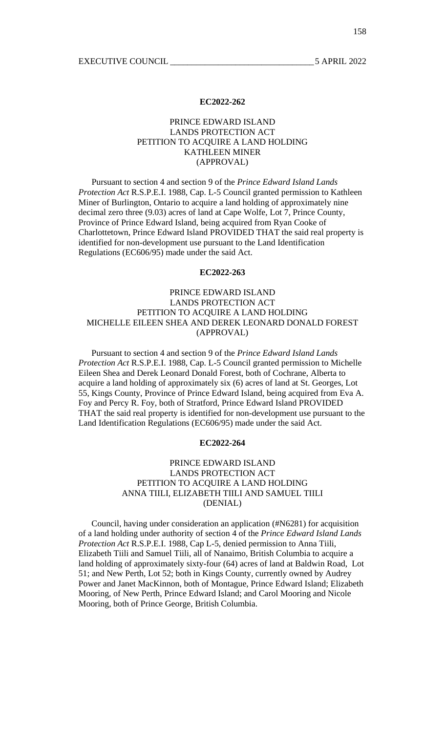# PRINCE EDWARD ISLAND LANDS PROTECTION ACT PETITION TO ACQUIRE A LAND HOLDING KATHLEEN MINER (APPROVAL)

 Pursuant to section 4 and section 9 of the *Prince Edward Island Lands Protection Act* R.S.P.E.I. 1988, Cap. L-5 Council granted permission to Kathleen Miner of Burlington, Ontario to acquire a land holding of approximately nine decimal zero three (9.03) acres of land at Cape Wolfe, Lot 7, Prince County, Province of Prince Edward Island, being acquired from Ryan Cooke of Charlottetown, Prince Edward Island PROVIDED THAT the said real property is identified for non-development use pursuant to the Land Identification Regulations (EC606/95) made under the said Act.

#### **EC2022-263**

# PRINCE EDWARD ISLAND LANDS PROTECTION ACT PETITION TO ACQUIRE A LAND HOLDING MICHELLE EILEEN SHEA AND DEREK LEONARD DONALD FOREST (APPROVAL)

 Pursuant to section 4 and section 9 of the *Prince Edward Island Lands Protection Act* R.S.P.E.I. 1988, Cap. L-5 Council granted permission to Michelle Eileen Shea and Derek Leonard Donald Forest, both of Cochrane, Alberta to acquire a land holding of approximately six (6) acres of land at St. Georges, Lot 55, Kings County, Province of Prince Edward Island, being acquired from Eva A. Foy and Percy R. Foy, both of Stratford, Prince Edward Island PROVIDED THAT the said real property is identified for non-development use pursuant to the Land Identification Regulations (EC606/95) made under the said Act.

#### **EC2022-264**

# PRINCE EDWARD ISLAND LANDS PROTECTION ACT PETITION TO ACQUIRE A LAND HOLDING ANNA TIILI, ELIZABETH TIILI AND SAMUEL TIILI (DENIAL)

 Council, having under consideration an application (#N6281) for acquisition of a land holding under authority of section 4 of the *Prince Edward Island Lands Protection Act* R.S.P.E.I. 1988, Cap L-5, denied permission to Anna Tiili, Elizabeth Tiili and Samuel Tiili, all of Nanaimo, British Columbia to acquire a land holding of approximately sixty-four (64) acres of land at Baldwin Road, Lot 51; and New Perth, Lot 52; both in Kings County, currently owned by Audrey Power and Janet MacKinnon, both of Montague, Prince Edward Island; Elizabeth Mooring, of New Perth, Prince Edward Island; and Carol Mooring and Nicole Mooring, both of Prince George, British Columbia.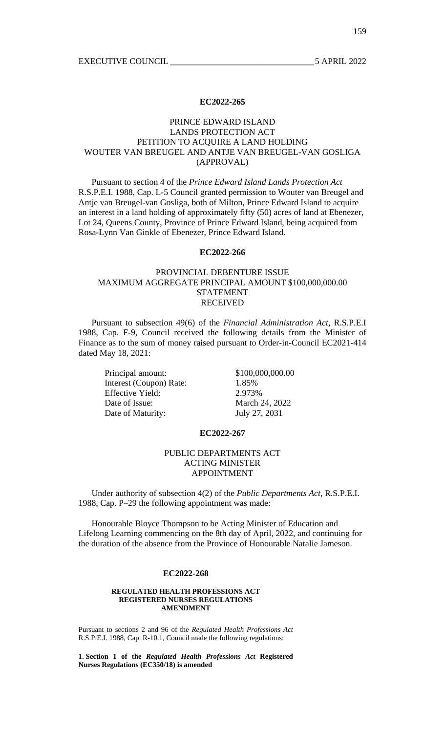# PRINCE EDWARD ISLAND LANDS PROTECTION ACT PETITION TO ACQUIRE A LAND HOLDING WOUTER VAN BREUGEL AND ANTJE VAN BREUGEL-VAN GOSLIGA (APPROVAL)

 Pursuant to section 4 of the *Prince Edward Island Lands Protection Act* R.S.P.E.I. 1988, Cap. L-5 Council granted permission to Wouter van Breugel and Antje van Breugel-van Gosliga, both of Milton, Prince Edward Island to acquire an interest in a land holding of approximately fifty (50) acres of land at Ebenezer, Lot 24, Queens County, Province of Prince Edward Island, being acquired from Rosa-Lynn Van Ginkle of Ebenezer, Prince Edward Island.

#### **EC2022-266**

# PROVINCIAL DEBENTURE ISSUE MAXIMUM AGGREGATE PRINCIPAL AMOUNT \$100,000,000.00 STATEMENT RECEIVED

 Pursuant to subsection 49(6) of the *Financial Administration Act,* R.S.P.E.I 1988, Cap. F-9, Council received the following details from the Minister of Finance as to the sum of money raised pursuant to Order-in-Council EC2021-414 dated May 18, 2021:

Principal amount: \$100,000,000.00 Interest (Coupon) Rate: 1.85% Effective Yield: 2.973% Date of Issue: March 24, 2022 Date of Maturity: July 27, 2031

# **EC2022-267**

# PUBLIC DEPARTMENTS ACT ACTING MINISTER APPOINTMENT

 Under authority of subsection 4(2) of the *Public Departments Act*, R.S.P.E.I. 1988, Cap. P–29 the following appointment was made:

 Honourable Bloyce Thompson to be Acting Minister of Education and Lifelong Learning commencing on the 8th day of April, 2022, and continuing for the duration of the absence from the Province of Honourable Natalie Jameson.

#### **EC2022-268**

#### **REGULATED HEALTH PROFESSIONS ACT REGISTERED NURSES REGULATIONS AMENDMENT**

Pursuant to sections 2 and 96 of the *Regulated Health Professions Act*  R.S.P.E.I. 1988, Cap. R-10.1, Council made the following regulations:

**1. Section 1 of the** *Regulated Health Professions Act* **Registered Nurses Regulations (EC350/18) is amended**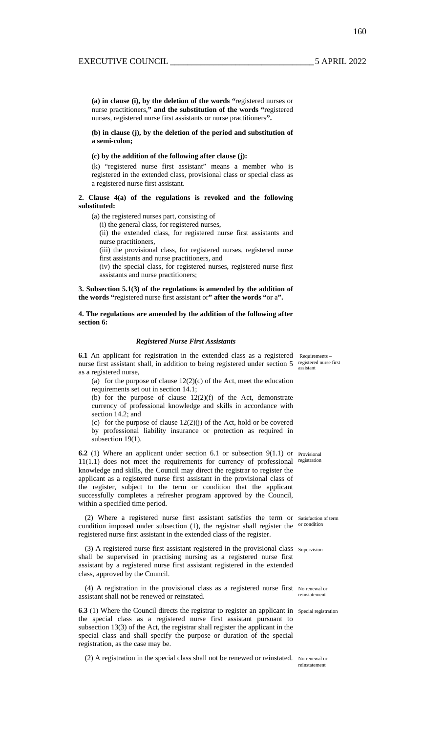**(a) in clause (i), by the deletion of the words "**registered nurses or nurse practitioners,**" and the substitution of the words "**registered nurses, registered nurse first assistants or nurse practitioners**".** 

**(b) in clause (j), by the deletion of the period and substitution of a semi-colon;** 

**(c) by the addition of the following after clause (j):** 

(k) "registered nurse first assistant" means a member who is registered in the extended class, provisional class or special class as a registered nurse first assistant.

#### **2. Clause 4(a) of the regulations is revoked and the following substituted:**

(a) the registered nurses part, consisting of

(i) the general class, for registered nurses,

(ii) the extended class, for registered nurse first assistants and nurse practitioners,

(iii) the provisional class, for registered nurses, registered nurse first assistants and nurse practitioners, and

(iv) the special class, for registered nurses, registered nurse first assistants and nurse practitioners;

**3. Subsection 5.1(3) of the regulations is amended by the addition of the words "**registered nurse first assistant or**" after the words "**or a**".** 

#### **4. The regulations are amended by the addition of the following after section 6:**

#### *Registered Nurse First Assistants*

**6.1** An applicant for registration in the extended class as a registered Requirements nurse first assistant shall, in addition to being registered under section  $5$  registered nurse first as a registered nurse,

(a) for the purpose of clause  $12(2)(c)$  of the Act, meet the education requirements set out in section 14.1;

(b) for the purpose of clause  $12(2)(f)$  of the Act, demonstrate currency of professional knowledge and skills in accordance with section 14.2; and

(c) for the purpose of clause  $12(2)(j)$  of the Act, hold or be covered by professional liability insurance or protection as required in subsection 19(1).

**6.2** (1) Where an applicant under section 6.1 or subsection 9(1.1) or Provisional 11(1.1) does not meet the requirements for currency of professional registration knowledge and skills, the Council may direct the registrar to register the applicant as a registered nurse first assistant in the provisional class of the register, subject to the term or condition that the applicant successfully completes a refresher program approved by the Council, within a specified time period.

(2) Where a registered nurse first assistant satisfies the term or Satisfaction of term condition imposed under subsection  $(1)$ , the registrar shall register the  $\alpha$  condition registered nurse first assistant in the extended class of the register.

(3) A registered nurse first assistant registered in the provisional class Supervision shall be supervised in practising nursing as a registered nurse first assistant by a registered nurse first assistant registered in the extended class, approved by the Council.

(4) A registration in the provisional class as a registered nurse first No renewal or assistant shall not be renewed or reinstated.

**6.3** (1) Where the Council directs the registrar to register an applicant in special registration the special class as a registered nurse first assistant pursuant to subsection 13(3) of the Act, the registrar shall register the applicant in the special class and shall specify the purpose or duration of the special registration, as the case may be.

(2) A registration in the special class shall not be renewed or reinstated. No renewal or

reinstatement

assistant

160

reinstatement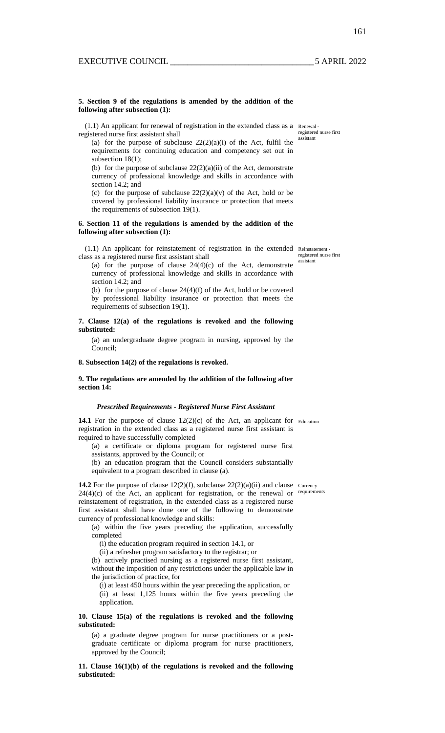#### **5. Section 9 of the regulations is amended by the addition of the following after subsection (1):**

(1.1) An applicant for renewal of registration in the extended class as a Renewal registered nurse first assistant shall

(a) for the purpose of subclause  $22(2)(a)(i)$  of the Act, fulfil the requirements for continuing education and competency set out in subsection 18(1);

(b) for the purpose of subclause  $22(2)(a)(ii)$  of the Act, demonstrate currency of professional knowledge and skills in accordance with section 14.2; and

(c) for the purpose of subclause  $22(2)(a)(v)$  of the Act, hold or be covered by professional liability insurance or protection that meets the requirements of subsection 19(1).

#### **6. Section 11 of the regulations is amended by the addition of the following after subsection (1):**

(1.1) An applicant for reinstatement of registration in the extended Reinstatement class as a registered nurse first assistant shall

(a) for the purpose of clause  $24(4)(c)$  of the Act, demonstrate currency of professional knowledge and skills in accordance with section 14.2; and

(b) for the purpose of clause  $24(4)(f)$  of the Act, hold or be covered by professional liability insurance or protection that meets the requirements of subsection 19(1).

#### **7. Clause 12(a) of the regulations is revoked and the following substituted:**

(a) an undergraduate degree program in nursing, approved by the Council;

#### **8. Subsection 14(2) of the regulations is revoked.**

#### **9. The regulations are amended by the addition of the following after section 14:**

#### *Prescribed Requirements - Registered Nurse First Assistant*

**14.1** For the purpose of clause  $12(2)(c)$  of the Act, an applicant for Education registration in the extended class as a registered nurse first assistant is required to have successfully completed

(a) a certificate or diploma program for registered nurse first assistants, approved by the Council; or

(b) an education program that the Council considers substantially

equivalent to a program described in clause (a).

**14.2** For the purpose of clause  $12(2)(f)$ , subclause  $22(2)(a)(ii)$  and clause Currency  $24(4)(c)$  of the Act, an applicant for registration, or the renewal or requirements reinstatement of registration, in the extended class as a registered nurse first assistant shall have done one of the following to demonstrate currency of professional knowledge and skills:

(a) within the five years preceding the application, successfully completed

(i) the education program required in section 14.1, or

(ii) a refresher program satisfactory to the registrar; or

(b) actively practised nursing as a registered nurse first assistant, without the imposition of any restrictions under the applicable law in the jurisdiction of practice, for

(i) at least 450 hours within the year preceding the application, or (ii) at least 1,125 hours within the five years preceding the application.

#### **10. Clause 15(a) of the regulations is revoked and the following substituted:**

(a) a graduate degree program for nurse practitioners or a postgraduate certificate or diploma program for nurse practitioners, approved by the Council;

#### **11. Clause 16(1)(b) of the regulations is revoked and the following substituted:**

registered nurse first

registered nurse first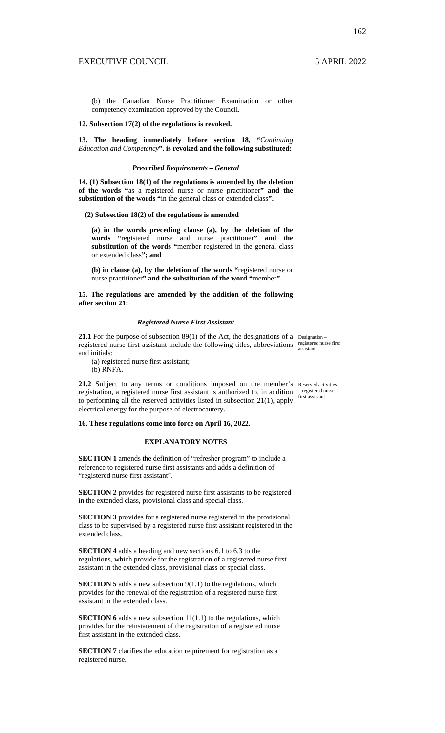162

(b) the Canadian Nurse Practitioner Examination or other competency examination approved by the Council.

#### **12. Subsection 17(2) of the regulations is revoked.**

**13. The heading immediately before section 18, "***Continuing Education and Competency***", is revoked and the following substituted:** 

#### *Prescribed Requirements – General*

**14. (1) Subsection 18(1) of the regulations is amended by the deletion of the words "**as a registered nurse or nurse practitioner**" and the substitution of the words "**in the general class or extended class**".** 

#### **(2) Subsection 18(2) of the regulations is amended**

**(a) in the words preceding clause (a), by the deletion of the words "**registered nurse and nurse practitioner**" and the substitution of the words "**member registered in the general class or extended class**"; and** 

**(b) in clause (a), by the deletion of the words "**registered nurse or nurse practitioner**" and the substitution of the word "**member**".** 

**15. The regulations are amended by the addition of the following after section 21:** 

#### *Registered Nurse First Assistant*

21.1 For the purpose of subsection 89(1) of the Act, the designations of a Designationregistered nurse first assistant include the following titles, abbreviations registered nurse first and initials: assistant

(a) registered nurse first assistant;

(b) RNFA.

21.2 Subject to any terms or conditions imposed on the member's Reserved activities registration, a registered nurse first assistant is authorized to, in addition  $\tau$  registered nurse to performing all the reserved activities listed in subsection 21(1), apply electrical energy for the purpose of electrocautery.

#### **16. These regulations come into force on April 16, 2022.**

#### **EXPLANATORY NOTES**

**SECTION 1** amends the definition of "refresher program" to include a reference to registered nurse first assistants and adds a definition of "registered nurse first assistant".

**SECTION 2** provides for registered nurse first assistants to be registered in the extended class, provisional class and special class.

**SECTION 3** provides for a registered nurse registered in the provisional class to be supervised by a registered nurse first assistant registered in the extended class.

**SECTION 4** adds a heading and new sections 6.1 to 6.3 to the regulations, which provide for the registration of a registered nurse first assistant in the extended class, provisional class or special class.

**SECTION 5** adds a new subsection 9(1.1) to the regulations, which provides for the renewal of the registration of a registered nurse first assistant in the extended class.

**SECTION 6** adds a new subsection 11(1.1) to the regulations, which provides for the reinstatement of the registration of a registered nurse first assistant in the extended class.

**SECTION 7** clarifies the education requirement for registration as a registered nurse.

first assistant